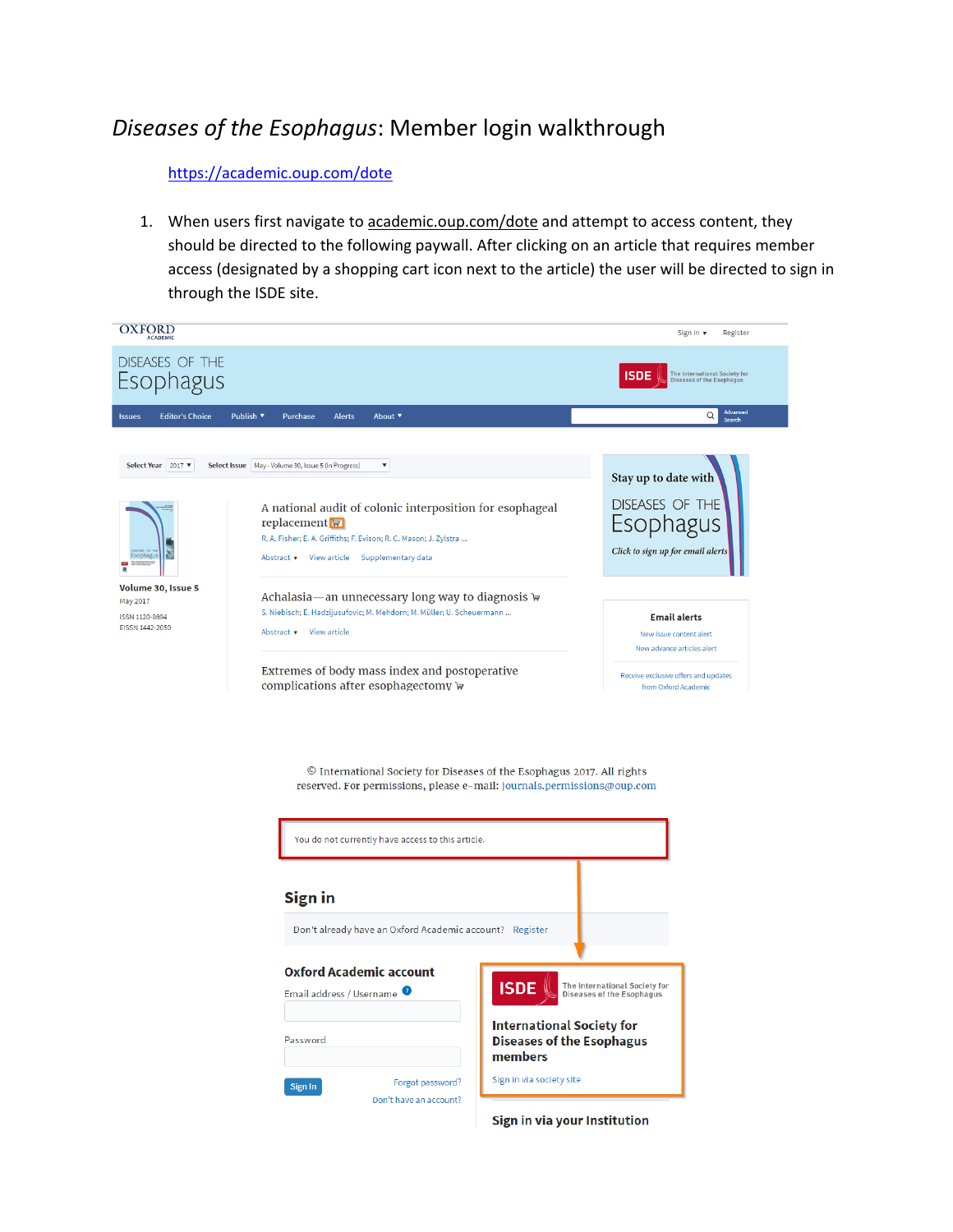## *Diseases of the Esophagus*: Member login walkthrough

## <https://academic.oup.com/dote>

1. When users first navigate to academic.oup.com/dote and attempt to access content, they should be directed to the following paywall. After clicking on an article that requires member access (designated by a shopping cart icon next to the article) the user will be directed to sign in through the ISDE site.





Sign in via your Institution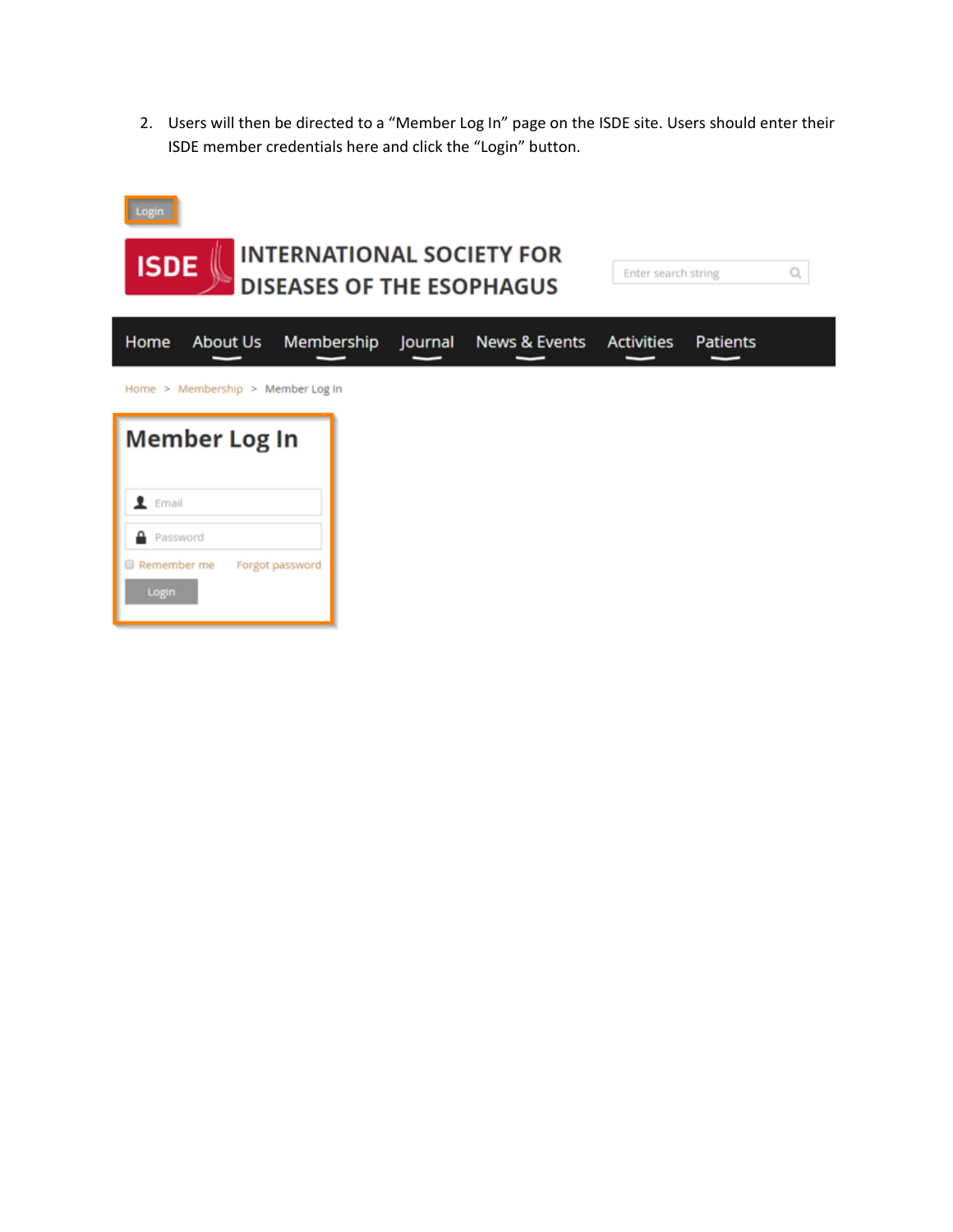2. Users will then be directed to a "Member Log In" page on the ISDE site. Users should enter their ISDE member credentials here and click the "Login" button.

| Login<br><b>INTERNATIONAL SOCIETY FOR</b><br><b>ISDE</b><br><b>DISEASES OF THE ESOPHAGUS</b> |                 |         |               | Enter search string<br>Q |                 |  |
|----------------------------------------------------------------------------------------------|-----------------|---------|---------------|--------------------------|-----------------|--|
| Home<br>About Us                                                                             | Membership      | Journal | News & Events | <b>Activities</b>        | <b>Patients</b> |  |
| Home > Membership > Member Log In                                                            |                 |         |               |                          |                 |  |
|                                                                                              |                 |         |               |                          |                 |  |
| <b>Member Log In</b>                                                                         |                 |         |               |                          |                 |  |
| Email                                                                                        |                 |         |               |                          |                 |  |
| Password<br>Remember me                                                                      | Forgot password |         |               |                          |                 |  |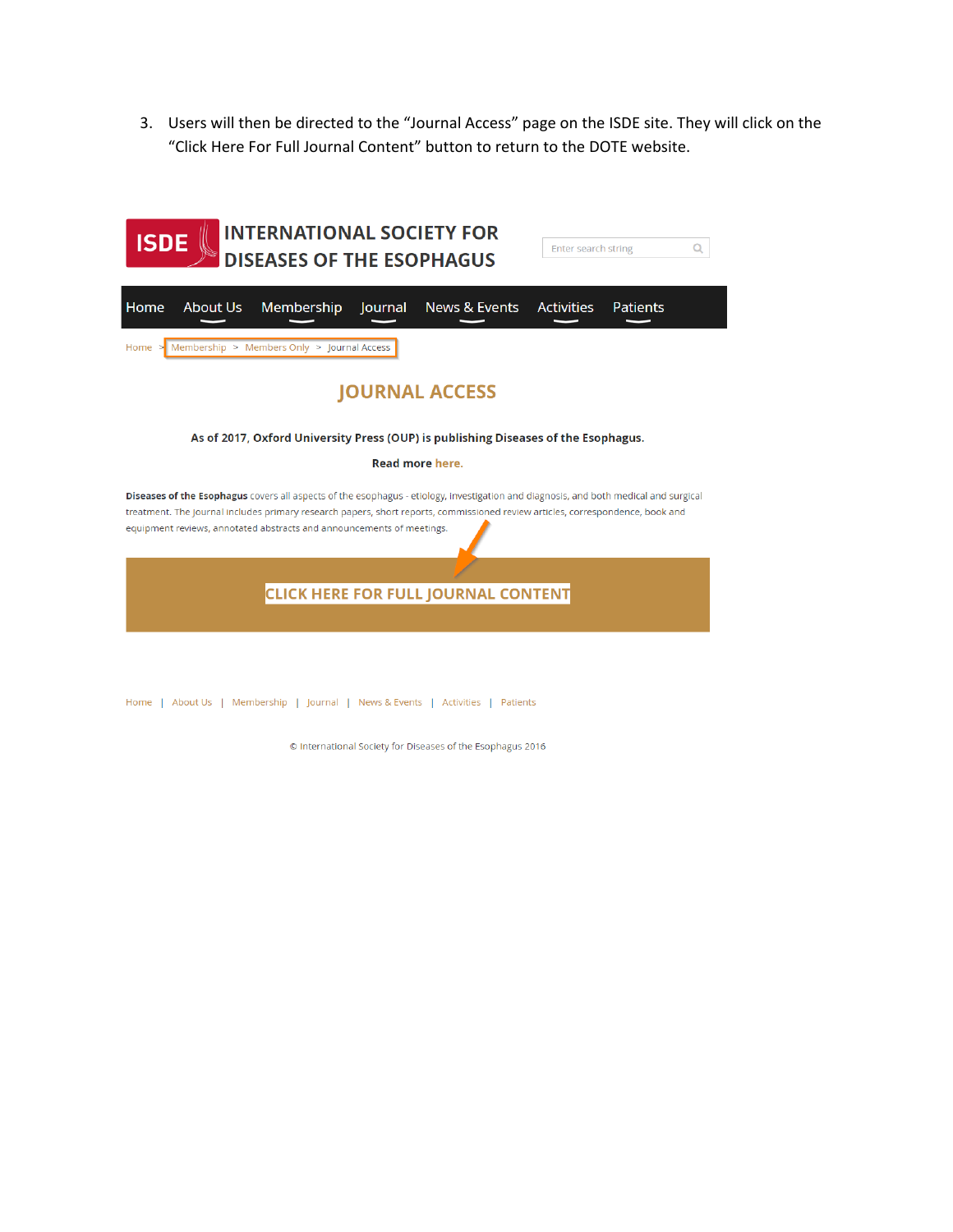3. Users will then be directed to the "Journal Access" page on the ISDE site. They will click on the "Click Here For Full Journal Content" button to return to the DOTE website.



© International Society for Diseases of the Esophagus 2016